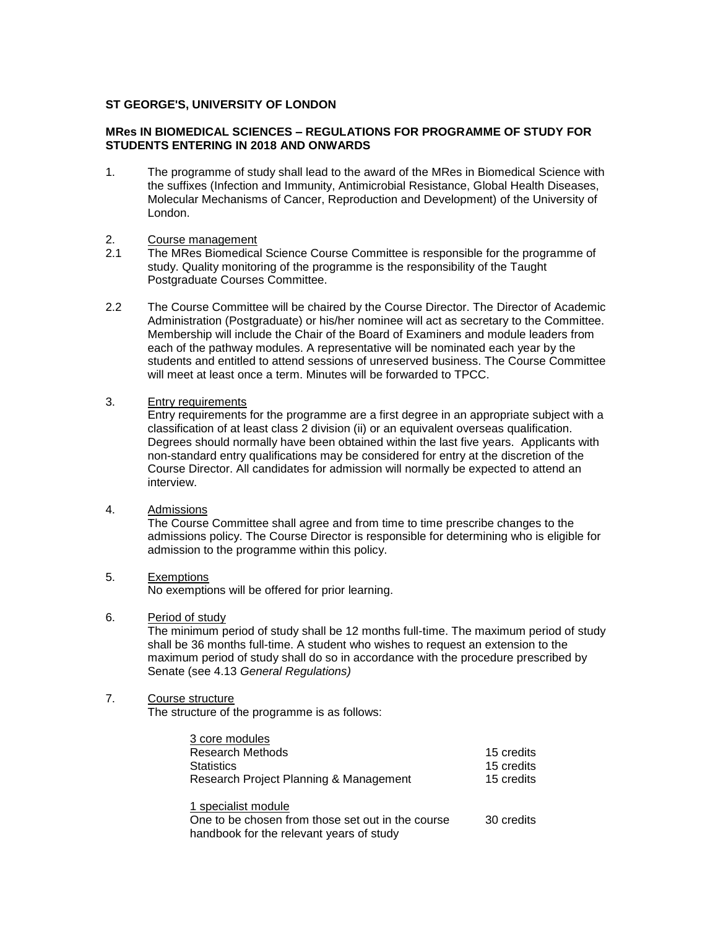## **ST GEORGE'S, UNIVERSITY OF LONDON**

## **MRes IN BIOMEDICAL SCIENCES – REGULATIONS FOR PROGRAMME OF STUDY FOR STUDENTS ENTERING IN 2018 AND ONWARDS**

- 1. The programme of study shall lead to the award of the MRes in Biomedical Science with the suffixes (Infection and Immunity, Antimicrobial Resistance, Global Health Diseases, Molecular Mechanisms of Cancer, Reproduction and Development) of the University of London.
- 2. Course management
- 2.1 The MRes Biomedical Science Course Committee is responsible for the programme of study. Quality monitoring of the programme is the responsibility of the Taught Postgraduate Courses Committee.
- 2.2 The Course Committee will be chaired by the Course Director. The Director of Academic Administration (Postgraduate) or his/her nominee will act as secretary to the Committee. Membership will include the Chair of the Board of Examiners and module leaders from each of the pathway modules. A representative will be nominated each year by the students and entitled to attend sessions of unreserved business. The Course Committee will meet at least once a term. Minutes will be forwarded to TPCC.
- 3. Entry requirements

Entry requirements for the programme are a first degree in an appropriate subject with a classification of at least class 2 division (ii) or an equivalent overseas qualification. Degrees should normally have been obtained within the last five years. Applicants with non-standard entry qualifications may be considered for entry at the discretion of the Course Director. All candidates for admission will normally be expected to attend an interview.

4. Admissions

The Course Committee shall agree and from time to time prescribe changes to the admissions policy. The Course Director is responsible for determining who is eligible for admission to the programme within this policy.

5. Exemptions

No exemptions will be offered for prior learning.

6. Period of study

The minimum period of study shall be 12 months full-time. The maximum period of study shall be 36 months full-time. A student who wishes to request an extension to the maximum period of study shall do so in accordance with the procedure prescribed by Senate (see 4.13 *General Regulations)*

## 7. Course structure

The structure of the programme is as follows:

| 3 core modules                                    |            |
|---------------------------------------------------|------------|
| <b>Research Methods</b>                           | 15 credits |
| <b>Statistics</b>                                 | 15 credits |
| Research Project Planning & Management            | 15 credits |
| 1 specialist module                               |            |
| One to be chosen from those set out in the course | 30 credits |
| handbook for the relevant years of study          |            |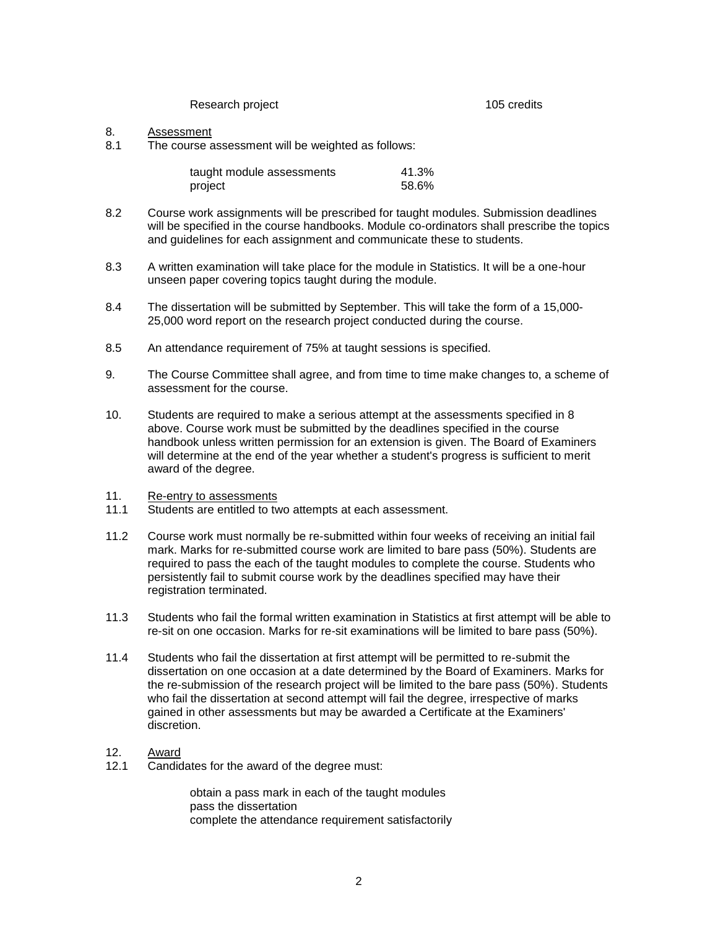Research project 105 credits

## 8. Assessment

8.1 The course assessment will be weighted as follows:

| taught module assessments | 41.3% |
|---------------------------|-------|
| project                   | 58.6% |

- 8.2 Course work assignments will be prescribed for taught modules. Submission deadlines will be specified in the course handbooks. Module co-ordinators shall prescribe the topics and guidelines for each assignment and communicate these to students.
- 8.3 A written examination will take place for the module in Statistics. It will be a one-hour unseen paper covering topics taught during the module.
- 8.4 The dissertation will be submitted by September. This will take the form of a 15,000- 25,000 word report on the research project conducted during the course.
- 8.5 An attendance requirement of 75% at taught sessions is specified.
- 9. The Course Committee shall agree, and from time to time make changes to, a scheme of assessment for the course.
- 10. Students are required to make a serious attempt at the assessments specified in 8 above. Course work must be submitted by the deadlines specified in the course handbook unless written permission for an extension is given. The Board of Examiners will determine at the end of the year whether a student's progress is sufficient to merit award of the degree.
- 11. Re-entry to assessments<br>11.1 Students are entitled to two
- Students are entitled to two attempts at each assessment.
- 11.2 Course work must normally be re-submitted within four weeks of receiving an initial fail mark. Marks for re-submitted course work are limited to bare pass (50%). Students are required to pass the each of the taught modules to complete the course. Students who persistently fail to submit course work by the deadlines specified may have their registration terminated.
- 11.3 Students who fail the formal written examination in Statistics at first attempt will be able to re-sit on one occasion. Marks for re-sit examinations will be limited to bare pass (50%).
- 11.4 Students who fail the dissertation at first attempt will be permitted to re-submit the dissertation on one occasion at a date determined by the Board of Examiners. Marks for the re-submission of the research project will be limited to the bare pass (50%). Students who fail the dissertation at second attempt will fail the degree, irrespective of marks gained in other assessments but may be awarded a Certificate at the Examiners' discretion.
- 12. Award
- 12.1 Candidates for the award of the degree must:

obtain a pass mark in each of the taught modules pass the dissertation complete the attendance requirement satisfactorily